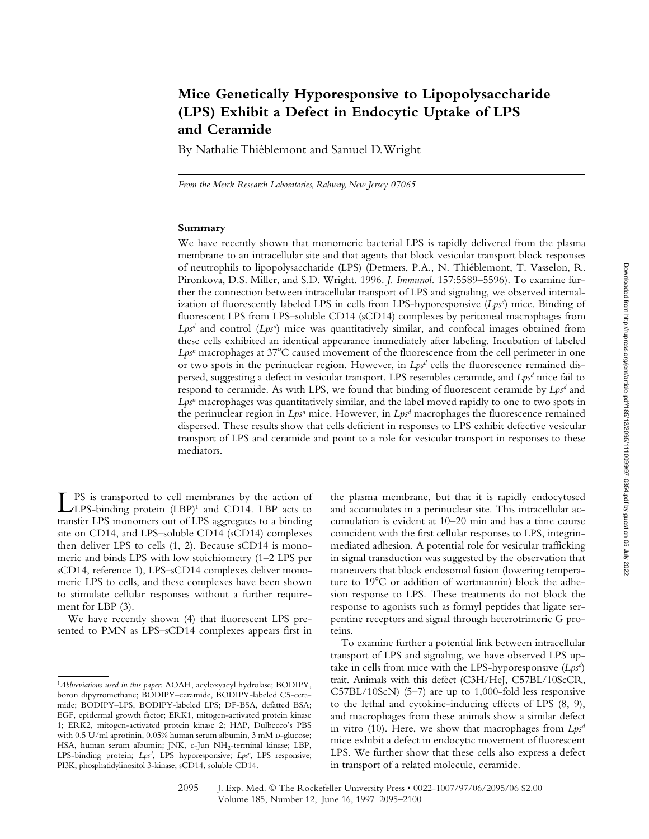# **Mice Genetically Hyporesponsive to Lipopolysaccharide (LPS) Exhibit a Defect in Endocytic Uptake of LPS and Ceramide**

By Nathalie Thiéblemont and Samuel D. Wright

*From the Merck Research Laboratories, Rahway, New Jersey 07065*

### **Summary**

We have recently shown that monomeric bacterial LPS is rapidly delivered from the plasma membrane to an intracellular site and that agents that block vesicular transport block responses of neutrophils to lipopolysaccharide (LPS) (Detmers, P.A., N. Thiéblemont, T. Vasselon, R. Pironkova, D.S. Miller, and S.D. Wright. 1996. *J. Immunol.* 157:5589–5596). To examine further the connection between intracellular transport of LPS and signaling, we observed internalization of fluorescently labeled LPS in cells from LPS-hyporesponsive (*Lpsd* ) mice. Binding of fluorescent LPS from LPS–soluble CD14 (sCD14) complexes by peritoneal macrophages from Lps<sup>d</sup> and control (Lps<sup>n</sup>) mice was quantitatively similar, and confocal images obtained from these cells exhibited an identical appearance immediately after labeling. Incubation of labeled Lps<sup>n</sup> macrophages at 37°C caused movement of the fluorescence from the cell perimeter in one or two spots in the perinuclear region. However, in  $Lps<sup>d</sup>$  cells the fluorescence remained dispersed, suggesting a defect in vesicular transport. LPS resembles ceramide, and *Lpsd* mice fail to respond to ceramide. As with LPS, we found that binding of fluorescent ceramide by *Lps<sup>d</sup>* and Lps<sup>n</sup> macrophages was quantitatively similar, and the label moved rapidly to one to two spots in the perinuclear region in *Lps<sup>n</sup>* mice. However, in *Lps<sup>d</sup>* macrophages the fluorescence remained dispersed. These results show that cells deficient in responses to LPS exhibit defective vesicular transport of LPS and ceramide and point to a role for vesicular transport in responses to these mediators.

LPS is transported to cell membranes by the action of<br>LLPS-binding protein (LBP)<sup>1</sup> and CD14. LBP acts to transfer LPS monomers out of LPS aggregates to a binding site on CD14, and LPS–soluble CD14 (sCD14) complexes then deliver LPS to cells (1, 2). Because sCD14 is monomeric and binds LPS with low stoichiometry (1–2 LPS per sCD14, reference 1), LPS–sCD14 complexes deliver monomeric LPS to cells, and these complexes have been shown to stimulate cellular responses without a further requirement for LBP (3).

We have recently shown (4) that fluorescent LPS presented to PMN as LPS–sCD14 complexes appears first in

the plasma membrane, but that it is rapidly endocytosed and accumulates in a perinuclear site. This intracellular accumulation is evident at 10–20 min and has a time course coincident with the first cellular responses to LPS, integrinmediated adhesion. A potential role for vesicular trafficking in signal transduction was suggested by the observation that maneuvers that block endosomal fusion (lowering temperature to 19°C or addition of wortmannin) block the adhesion response to LPS. These treatments do not block the response to agonists such as formyl peptides that ligate serpentine receptors and signal through heterotrimeric G proteins.

To examine further a potential link between intracellular transport of LPS and signaling, we have observed LPS uptake in cells from mice with the LPS-hyporesponsive (*Lpsd* ) trait. Animals with this defect (C3H/HeJ, C57BL/10ScCR, C57BL/10ScN) (5–7) are up to 1,000-fold less responsive to the lethal and cytokine-inducing effects of LPS (8, 9), and macrophages from these animals show a similar defect in vitro (10). Here, we show that macrophages from *Lpsd* mice exhibit a defect in endocytic movement of fluorescent LPS. We further show that these cells also express a defect in transport of a related molecule, ceramide.

<sup>1</sup>*Abbreviations used in this paper:* AOAH, acyloxyacyl hydrolase; BODIPY, boron dipyrromethane; BODIPY–ceramide, BODIPY-labeled C5-ceramide; BODIPY–LPS, BODIPY-labeled LPS; DF-BSA, defatted BSA; EGF, epidermal growth factor; ERK1, mitogen-activated protein kinase 1; ERK2, mitogen-activated protein kinase 2; HAP, Dulbecco's PBS with 0.5 U/ml aprotinin, 0.05% human serum albumin, 3 mM D-glucose; HSA, human serum albumin; JNK, c-Jun NH<sub>2</sub>-terminal kinase; LBP, LPS-binding protein; *Lps<sup>d</sup>*, LPS hyporesponsive; *Lps<sup>n</sup>*, LPS responsive; PI3K, phosphatidylinositol 3-kinase; sCD14, soluble CD14.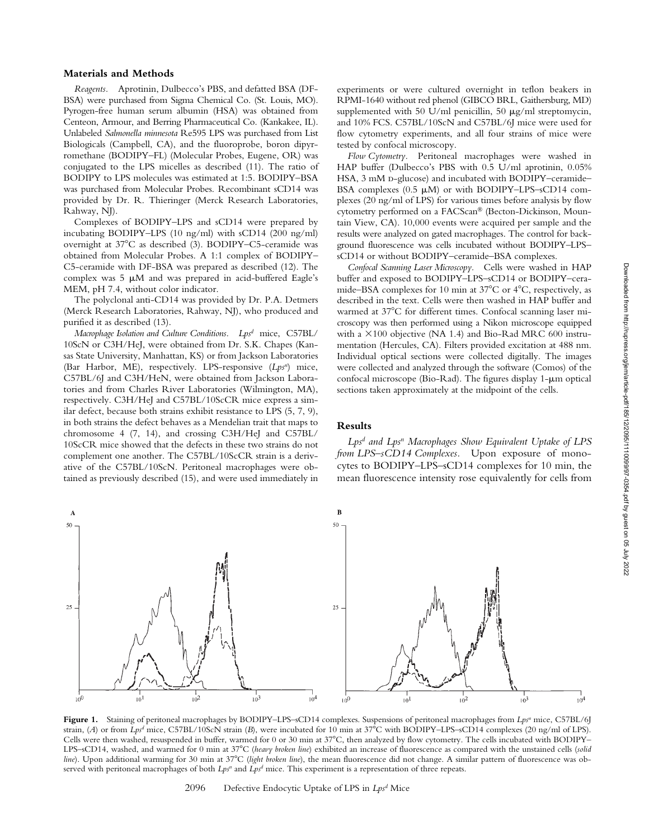#### **Materials and Methods**

*Reagents.* Aprotinin, Dulbecco's PBS, and defatted BSA (DF-BSA) were purchased from Sigma Chemical Co. (St. Louis, MO). Pyrogen-free human serum albumin (HSA) was obtained from Centeon, Armour, and Berring Pharmaceutical Co. (Kankakee, IL). Unlabeled *Salmonella minnesota* Re595 LPS was purchased from List Biologicals (Campbell, CA), and the fluoroprobe, boron dipyrromethane (BODIPY–FL) (Molecular Probes, Eugene, OR) was conjugated to the LPS micelles as described (11). The ratio of BODIPY to LPS molecules was estimated at 1:5. BODIPY–BSA was purchased from Molecular Probes. Recombinant sCD14 was provided by Dr. R. Thieringer (Merck Research Laboratories, Rahway, NJ).

Complexes of BODIPY–LPS and sCD14 were prepared by incubating BODIPY–LPS (10 ng/ml) with sCD14 (200 ng/ml) overnight at 37°C as described (3). BODIPY-C5-ceramide was obtained from Molecular Probes. A 1:1 complex of BODIPY– C5-ceramide with DF-BSA was prepared as described (12). The complex was  $5 \mu M$  and was prepared in acid-buffered Eagle's MEM, pH 7.4, without color indicator.

The polyclonal anti-CD14 was provided by Dr. P.A. Detmers (Merck Research Laboratories, Rahway, NJ), who produced and purified it as described (13).

*Macrophage Isolation and Culture Conditions. Lpsd* mice, C57BL/ 10ScN or C3H/HeJ, were obtained from Dr. S.K. Chapes (Kansas State University, Manhattan, KS) or from Jackson Laboratories (Bar Harbor, ME), respectively. LPS-responsive (*Lpsn*) mice, C57BL/6J and C3H/HeN, were obtained from Jackson Laboratories and from Charles River Laboratories (Wilmington, MA), respectively. C3H/HeJ and C57BL/10ScCR mice express a similar defect, because both strains exhibit resistance to LPS (5, 7, 9), in both strains the defect behaves as a Mendelian trait that maps to chromosome 4 (7, 14), and crossing C3H/HeJ and C57BL/ 10ScCR mice showed that the defects in these two strains do not complement one another. The C57BL/10ScCR strain is a derivative of the C57BL/10ScN. Peritoneal macrophages were obtained as previously described (15), and were used immediately in experiments or were cultured overnight in teflon beakers in RPMI-1640 without red phenol (GIBCO BRL, Gaithersburg, MD) supplemented with 50 U/ml penicillin, 50  $\mu$ g/ml streptomycin, and 10% FCS. C57BL/10ScN and C57BL/6J mice were used for flow cytometry experiments, and all four strains of mice were tested by confocal microscopy.

*Flow Cytometry.* Peritoneal macrophages were washed in HAP buffer (Dulbecco's PBS with 0.5 U/ml aprotinin, 0.05% HSA, 3 mM p-glucose) and incubated with BODIPY–ceramide– BSA complexes  $(0.5 \mu M)$  or with BODIPY–LPS–sCD14 complexes (20 ng/ml of LPS) for various times before analysis by flow cytometry performed on a FACScan® (Becton-Dickinson, Mountain View, CA). 10,000 events were acquired per sample and the results were analyzed on gated macrophages. The control for background fluorescence was cells incubated without BODIPY–LPS– sCD14 or without BODIPY–ceramide–BSA complexes.

*Confocal Scanning Laser Microscopy.* Cells were washed in HAP buffer and exposed to BODIPY–LPS–sCD14 or BODIPY–ceramide–BSA complexes for 10 min at 37°C or 4°C, respectively, as described in the text. Cells were then washed in HAP buffer and warmed at 37°C for different times. Confocal scanning laser microscopy was then performed using a Nikon microscope equipped with a  $\times 100$  objective (NA 1.4) and Bio-Rad MRC 600 instrumentation (Hercules, CA). Filters provided excitation at 488 nm. Individual optical sections were collected digitally. The images were collected and analyzed through the software (Comos) of the confocal microscope (Bio-Rad). The figures display  $1-\mu m$  optical sections taken approximately at the midpoint of the cells.

# **Results**

*Lpsd and Lpsn Macrophages Show Equivalent Uptake of LPS from LPS–sCD14 Complexes.* Upon exposure of monocytes to BODIPY–LPS–sCD14 complexes for 10 min, the mean fluorescence intensity rose equivalently for cells from



Figure 1. Staining of peritoneal macrophages by BODIPY–LPS–sCD14 complexes. Suspensions of peritoneal macrophages from *Lps<sup>n</sup>* mice, C57BL/6J strain, (A) or from *Lps<sup>d</sup>* mice, C57BL/10ScN strain (B), were incubated for 10 min at 37°C with BODIPY–LPS–sCD14 complexes (20 ng/ml of LPS). Cells were then washed, resuspended in buffer, warmed for 0 or 30 min at 37°C, then analyzed by flow cytometry. The cells incubated with BODIPY– LPS–sCD14, washed, and warmed for 0 min at 37°C (heavy broken line) exhibited an increase of fluorescence as compared with the unstained cells (solid line). Upon additional warming for 30 min at 37°C (light broken line), the mean fluorescence did not change. A similar pattern of fluorescence was observed with peritoneal macrophages of both *Lpsn* and *Lpsd* mice. This experiment is a representation of three repeats.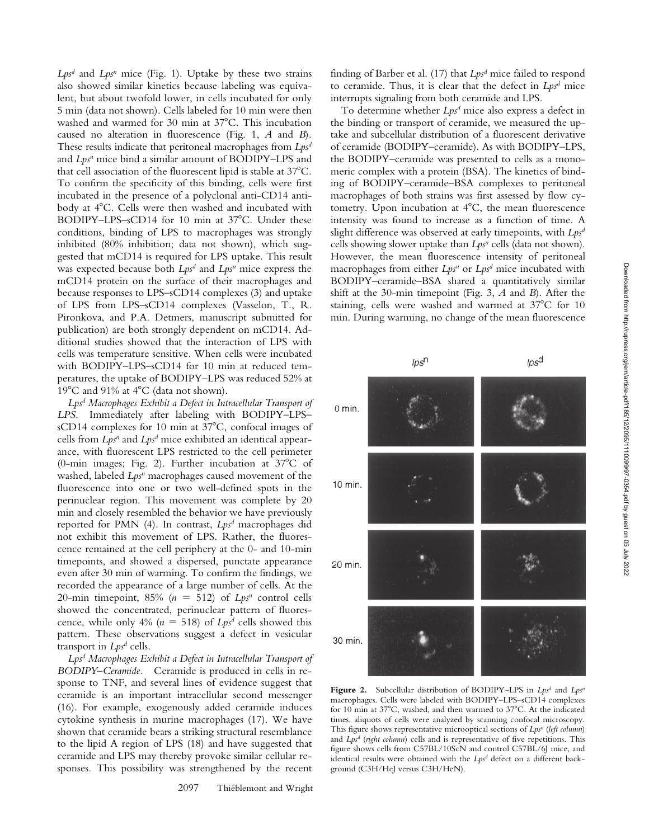*Lpsd* and *Lpsn* mice (Fig. 1). Uptake by these two strains also showed similar kinetics because labeling was equivalent, but about twofold lower, in cells incubated for only 5 min (data not shown). Cells labeled for 10 min were then washed and warmed for 30 min at 37°C. This incubation caused no alteration in fluorescence (Fig. 1, *A* and *B*). These results indicate that peritoneal macrophages from *Lpsd* and *Lps<sup>n</sup>* mice bind a similar amount of BODIPY–LPS and that cell association of the fluorescent lipid is stable at 37°C. To confirm the specificity of this binding, cells were first incubated in the presence of a polyclonal anti-CD14 antibody at 4°C. Cells were then washed and incubated with BODIPY-LPS-sCD14 for 10 min at 37°C. Under these conditions, binding of LPS to macrophages was strongly inhibited (80% inhibition; data not shown), which suggested that mCD14 is required for LPS uptake. This result was expected because both *Lpsd* and *Lpsn* mice express the mCD14 protein on the surface of their macrophages and because responses to LPS–sCD14 complexes (3) and uptake of LPS from LPS–sCD14 complexes (Vasselon, T., R. Pironkova, and P.A. Detmers, manuscript submitted for publication) are both strongly dependent on mCD14. Additional studies showed that the interaction of LPS with cells was temperature sensitive. When cells were incubated with BODIPY–LPS–sCD14 for 10 min at reduced temperatures, the uptake of BODIPY–LPS was reduced 52% at 19 $^{\circ}$ C and 91% at 4 $^{\circ}$ C (data not shown).

*Lpsd Macrophages Exhibit a Defect in Intracellular Transport of LPS.* Immediately after labeling with BODIPY–LPS– sCD14 complexes for 10 min at 37°C, confocal images of cells from *Lps<sup>n</sup>* and *Lps<sup>d</sup>* mice exhibited an identical appearance, with fluorescent LPS restricted to the cell perimeter (0-min images; Fig. 2). Further incubation at  $37^{\circ}$ C of washed, labeled *Lps<sup>n</sup>* macrophages caused movement of the fluorescence into one or two well-defined spots in the perinuclear region. This movement was complete by 20 min and closely resembled the behavior we have previously reported for PMN (4). In contrast, *Lpsd* macrophages did not exhibit this movement of LPS. Rather, the fluorescence remained at the cell periphery at the 0- and 10-min timepoints, and showed a dispersed, punctate appearance even after 30 min of warming. To confirm the findings, we recorded the appearance of a large number of cells. At the 20-min timepoint, 85%  $(n = 512)$  of  $Lps^n$  control cells showed the concentrated, perinuclear pattern of fluorescence, while only 4% ( $n = 518$ ) of *Lps<sup>d</sup>* cells showed this pattern. These observations suggest a defect in vesicular transport in *Lps<sup>d</sup>* cells.

*Lpsd Macrophages Exhibit a Defect in Intracellular Transport of BODIPY–Ceramide.* Ceramide is produced in cells in response to TNF, and several lines of evidence suggest that ceramide is an important intracellular second messenger (16). For example, exogenously added ceramide induces cytokine synthesis in murine macrophages (17). We have shown that ceramide bears a striking structural resemblance to the lipid A region of LPS (18) and have suggested that ceramide and LPS may thereby provoke similar cellular responses. This possibility was strengthened by the recent

finding of Barber et al. (17) that *Lpsd* mice failed to respond to ceramide. Thus, it is clear that the defect in *Lpsd* mice interrupts signaling from both ceramide and LPS.

To determine whether *Lpsd* mice also express a defect in the binding or transport of ceramide, we measured the uptake and subcellular distribution of a fluorescent derivative of ceramide (BODIPY–ceramide). As with BODIPY–LPS, the BODIPY–ceramide was presented to cells as a monomeric complex with a protein (BSA). The kinetics of binding of BODIPY–ceramide–BSA complexes to peritoneal macrophages of both strains was first assessed by flow cytometry. Upon incubation at 4°C, the mean fluorescence intensity was found to increase as a function of time. A slight difference was observed at early timepoints, with *Lpsd* cells showing slower uptake than *Lps<sup>n</sup>* cells (data not shown). However, the mean fluorescence intensity of peritoneal macrophages from either *Lpsn* or *Lpsd* mice incubated with BODIPY–ceramide–BSA shared a quantitatively similar shift at the 30-min timepoint (Fig. 3, *A* and *B*). After the staining, cells were washed and warmed at 37°C for 10 min. During warming, no change of the mean fluorescence



**Figure 2.** Subcellular distribution of BODIPY–LPS in *Lps<sup>d</sup>* and *Lps<sup>n</sup>* macrophages. Cells were labeled with BODIPY–LPS–sCD14 complexes for 10 min at 37°C, washed, and then warmed to 37°C. At the indicated times, aliquots of cells were analyzed by scanning confocal microscopy. This figure shows representative microoptical sections of *Lps<sup>n</sup>* (*left column*) and *Lpsd* (*right column*) cells and is representative of five repetitions. This figure shows cells from C57BL/10ScN and control C57BL/6J mice, and identical results were obtained with the *Lpsd* defect on a different background (C3H/HeJ versus C3H/HeN).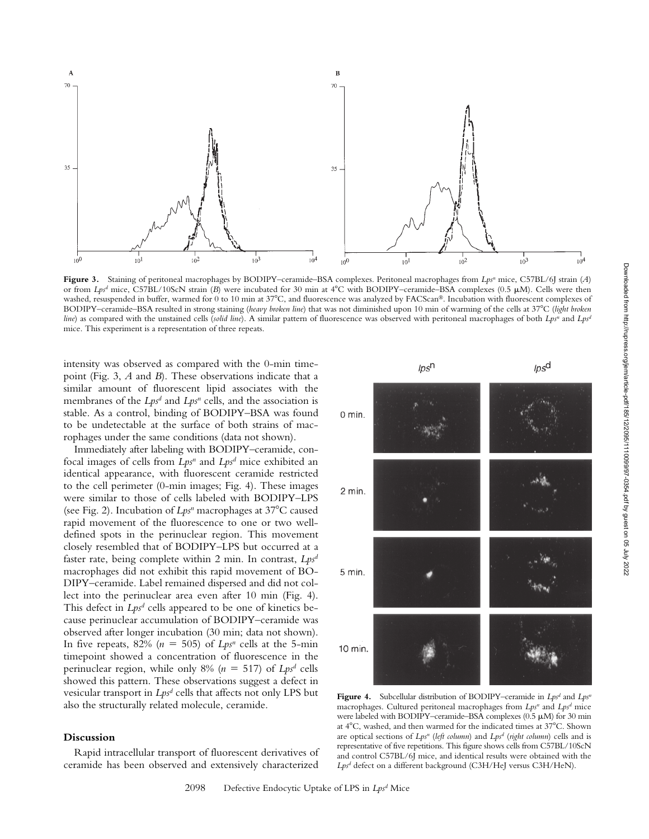

**Figure 3.** Staining of peritoneal macrophages by BODIPY–ceramide–BSA complexes. Peritoneal macrophages from *Lps<sup>n</sup>* mice, C57BL/6J strain (*A*) or from *Lps<sup>d</sup>* mice, C57BL/10ScN strain (*B*) were incubated for 30 min at 4°C with BODIPY–ceramide–BSA complexes (0.5 µM). Cells were then washed, resuspended in buffer, warmed for 0 to 10 min at 37°C, and fluorescence was analyzed by FACScan®. Incubation with fluorescent complexes of BODIPY–ceramide–BSA resulted in strong staining (*heavy broken line*) that was not diminished upon 10 min of warming of the cells at 37°C (*light broken line*) as compared with the unstained cells (*solid line*). A similar pattern of fluorescence was observed with peritoneal macrophages of both *Lps<sup>n</sup>* and *Lps<sup>n</sup>* mice. This experiment is a representation of three repeats.

intensity was observed as compared with the 0-min timepoint (Fig. 3, *A* and *B*). These observations indicate that a similar amount of fluorescent lipid associates with the membranes of the *Lps<sup>d</sup>* and *Lps<sup>n</sup>* cells, and the association is stable. As a control, binding of BODIPY–BSA was found to be undetectable at the surface of both strains of macrophages under the same conditions (data not shown).

Immediately after labeling with BODIPY–ceramide, confocal images of cells from *Lpsn* and *Lpsd* mice exhibited an identical appearance, with fluorescent ceramide restricted to the cell perimeter (0-min images; Fig. 4). These images were similar to those of cells labeled with BODIPY–LPS (see Fig. 2). Incubation of *Lps<sup>n</sup>* macrophages at 37°C caused rapid movement of the fluorescence to one or two welldefined spots in the perinuclear region. This movement closely resembled that of BODIPY–LPS but occurred at a faster rate, being complete within 2 min. In contrast, *Lpsd* macrophages did not exhibit this rapid movement of BO-DIPY–ceramide. Label remained dispersed and did not collect into the perinuclear area even after 10 min (Fig. 4). This defect in *Lps<sup>d</sup>* cells appeared to be one of kinetics because perinuclear accumulation of BODIPY–ceramide was observed after longer incubation (30 min; data not shown). In five repeats,  $82\%$  ( $n = 505$ ) of  $Lps^n$  cells at the 5-min timepoint showed a concentration of fluorescence in the perinuclear region, while only 8% (*n* 517) of *Lpsd* cells showed this pattern. These observations suggest a defect in vesicular transport in *Lpsd* cells that affects not only LPS but also the structurally related molecule, ceramide.

## **Discussion**

Rapid intracellular transport of fluorescent derivatives of ceramide has been observed and extensively characterized



**Figure 4.** Subcellular distribution of BODIPY–ceramide in  $Lps^d$  and  $Lps^n$ macrophages. Cultured peritoneal macrophages from  $Lps^n$  and  $Lps^d$  mice were labeled with BODIPY–ceramide–BSA complexes  $(0.5 \mu M)$  for 30 min at 4°C, washed, and then warmed for the indicated times at 37°C. Shown are optical sections of *Lpsn* (*left column*) and *Lpsd* (*right column*) cells and is representative of five repetitions. This figure shows cells from C57BL/10ScN and control C57BL/6J mice, and identical results were obtained with the *Lpsd* defect on a different background (C3H/HeJ versus C3H/HeN).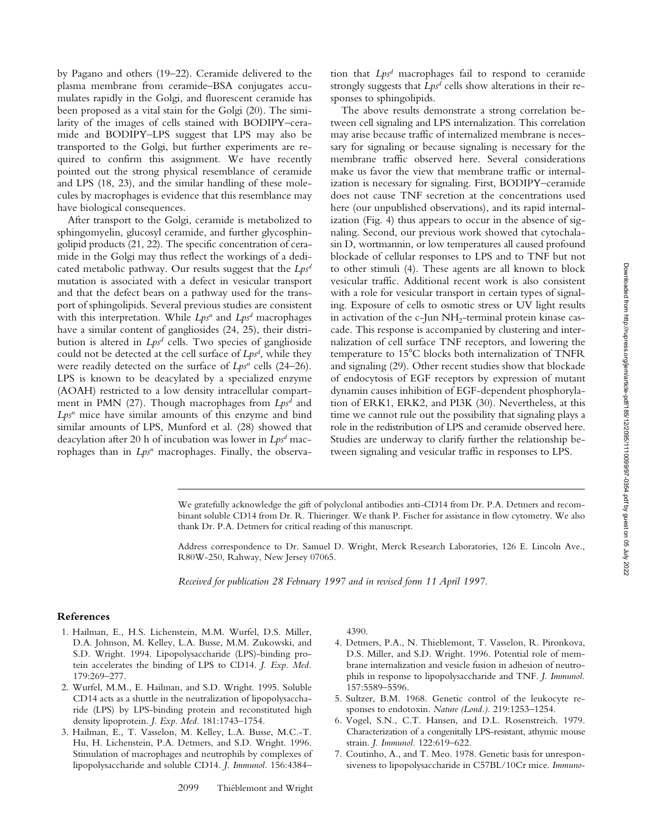by Pagano and others (19–22). Ceramide delivered to the plasma membrane from ceramide–BSA conjugates accumulates rapidly in the Golgi, and fluorescent ceramide has been proposed as a vital stain for the Golgi (20). The similarity of the images of cells stained with BODIPY–ceramide and BODIPY–LPS suggest that LPS may also be transported to the Golgi, but further experiments are required to confirm this assignment. We have recently pointed out the strong physical resemblance of ceramide and LPS (18, 23), and the similar handling of these molecules by macrophages is evidence that this resemblance may have biological consequences.

After transport to the Golgi, ceramide is metabolized to sphingomyelin, glucosyl ceramide, and further glycosphingolipid products (21, 22). The specific concentration of ceramide in the Golgi may thus reflect the workings of a dedicated metabolic pathway. Our results suggest that the *Lpsd* mutation is associated with a defect in vesicular transport and that the defect bears on a pathway used for the transport of sphingolipids. Several previous studies are consistent with this interpretation. While *Lps<sup>n</sup>* and *Lps<sup>d</sup>* macrophages have a similar content of gangliosides (24, 25), their distribution is altered in *Lpsd* cells. Two species of ganglioside could not be detected at the cell surface of *Lpsd* , while they were readily detected on the surface of *Lps<sup>n</sup>* cells (24–26). LPS is known to be deacylated by a specialized enzyme (AOAH) restricted to a low density intracellular compartment in PMN (27). Though macrophages from *Lpsd* and Lps<sup>n</sup> mice have similar amounts of this enzyme and bind similar amounts of LPS, Munford et al. (28) showed that deacylation after 20 h of incubation was lower in *Lpsd* macrophages than in *Lps<sup>n</sup>* macrophages. Finally, the observation that *Lpsd* macrophages fail to respond to ceramide strongly suggests that  $Lps^d$  cells show alterations in their responses to sphingolipids.

The above results demonstrate a strong correlation between cell signaling and LPS internalization. This correlation may arise because traffic of internalized membrane is necessary for signaling or because signaling is necessary for the membrane traffic observed here. Several considerations make us favor the view that membrane traffic or internalization is necessary for signaling. First, BODIPY–ceramide does not cause TNF secretion at the concentrations used here (our unpublished observations), and its rapid internalization (Fig. 4) thus appears to occur in the absence of signaling. Second, our previous work showed that cytochalasin D, wortmannin, or low temperatures all caused profound blockade of cellular responses to LPS and to TNF but not to other stimuli (4). These agents are all known to block vesicular traffic. Additional recent work is also consistent with a role for vesicular transport in certain types of signaling. Exposure of cells to osmotic stress or UV light results in activation of the c-Jun NH<sub>2</sub>-terminal protein kinase cascade. This response is accompanied by clustering and internalization of cell surface TNF receptors, and lowering the temperature to 15°C blocks both internalization of TNFR and signaling (29). Other recent studies show that blockade of endocytosis of EGF receptors by expression of mutant dynamin causes inhibition of EGF-dependent phosphorylation of ERK1, ERK2, and PI3K (30). Nevertheless, at this time we cannot rule out the possibility that signaling plays a role in the redistribution of LPS and ceramide observed here. Studies are underway to clarify further the relationship between signaling and vesicular traffic in responses to LPS.

We gratefully acknowledge the gift of polyclonal antibodies anti-CD14 from Dr. P.A. Detmers and recombinant soluble CD14 from Dr. R. Thieringer. We thank P. Fischer for assistance in flow cytometry. We also thank Dr. P.A. Detmers for critical reading of this manuscript.

Address correspondence to Dr. Samuel D. Wright, Merck Research Laboratories, 126 E. Lincoln Ave., R80W-250, Rahway, New Jersey 07065.

*Received for publication 28 February 1997 and in revised form 11 April 1997.*

# **References**

- 1. Hailman, E., H.S. Lichenstein, M.M. Wurfel, D.S. Miller, D.A. Johnson, M. Kelley, L.A. Busse, M.M. Zukowski, and S.D. Wright. 1994. Lipopolysaccharide (LPS)-binding protein accelerates the binding of LPS to CD14. *J. Exp. Med.* 179:269–277.
- 2. Wurfel, M.M., E. Hailman, and S.D. Wright. 1995. Soluble CD14 acts as a shuttle in the neutralization of lipopolysaccharide (LPS) by LPS-binding protein and reconstituted high density lipoprotein. *J. Exp. Med.* 181:1743–1754.
- 3. Hailman, E., T. Vasselon, M. Kelley, L.A. Busse, M.C.-T. Hu, H. Lichenstein, P.A. Detmers, and S.D. Wright. 1996. Stimulation of macrophages and neutrophils by complexes of lipopolysaccharide and soluble CD14. *J. Immunol.* 156:4384–

4390.

- 4. Detmers, P.A., N. Thieblemont, T. Vasselon, R. Pironkova, D.S. Miller, and S.D. Wright. 1996. Potential role of membrane internalization and vesicle fusion in adhesion of neutrophils in response to lipopolysaccharide and TNF. *J. Immunol.* 157:5589–5596.
- 5. Sultzer, B.M. 1968. Genetic control of the leukocyte responses to endotoxin. *Nature (Lond.).* 219:1253–1254.
- 6. Vogel, S.N., C.T. Hansen, and D.L. Rosenstreich. 1979. Characterization of a congenitally LPS-resistant, athymic mouse strain. *J. Immunol.* 122:619–622.
- 7. Coutinho, A., and T. Meo. 1978. Genetic basis for unresponsiveness to lipopolysaccharide in C57BL/10Cr mice. *Immuno-*